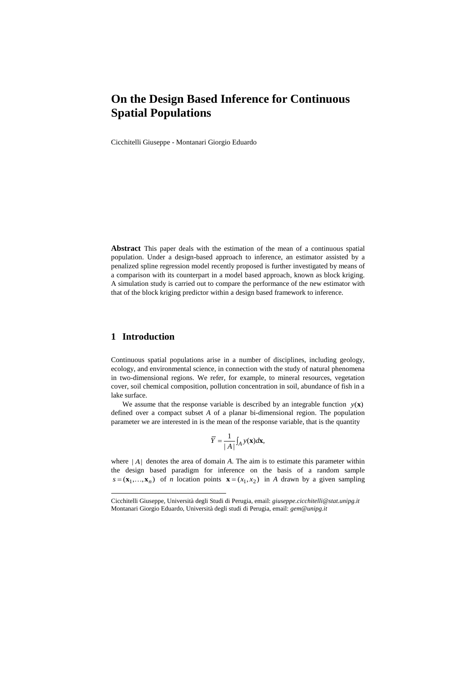# **On the Design Based Inference for Continuous Spatial Populations**

Cicchitelli Giuseppe - Montanari Giorgio Eduardo

**Abstract** This paper deals with the estimation of the mean of a continuous spatial population. Under a design-based approach to inference, an estimator assisted by a penalized spline regression model recently proposed is further investigated by means of a comparison with its counterpart in a model based approach, known as block kriging. A simulation study is carried out to compare the performance of the new estimator with that of the block kriging predictor within a design based framework to inference.

## **1 Introduction**

l

Continuous spatial populations arise in a number of disciplines, including geology, ecology, and environmental science, in connection with the study of natural phenomena in two-dimensional regions. We refer, for example, to mineral resources, vegetation cover, soil chemical composition, pollution concentration in soil, abundance of fish in a lake surface.

We assume that the response variable is described by an integrable function  $y(x)$ defined over a compact subset *A* of a planar bi-dimensional region. The population parameter we are interested in is the mean of the response variable, that is the quantity

$$
\overline{Y} = \frac{1}{|A|} \int_A y(\mathbf{x}) d\mathbf{x},
$$

where  $|A|$  denotes the area of domain *A*. The aim is to estimate this parameter within the design based paradigm for inference on the basis of a random sample  $s = (\mathbf{x}_1, ..., \mathbf{x}_n)$  of *n* location points  $\mathbf{x} = (x_1, x_2)$  in *A* drawn by a given sampling

Cicchitelli Giuseppe, Università degli Studi di Perugia, email: *giuseppe.cicchitelli@stat.unipg.it* Montanari Giorgio Eduardo, Università degli studi di Perugia, email: *gem@unipg.it*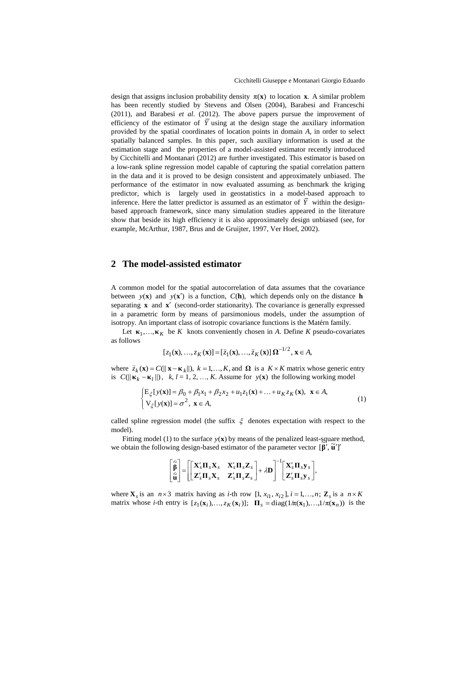design that assigns inclusion probability density  $\pi(x)$  to location **x**. A similar problem has been recently studied by Stevens and Olsen (2004), Barabesi and Franceschi (2011), and Barabesi *et al*. (2012). The above papers pursue the improvement of efficiency of the estimator of *Y* using at the design stage the auxiliary information provided by the spatial coordinates of location points in domain *A*, in order to select spatially balanced samples. In this paper, such auxiliary information is used at the estimation stage and the properties of a model-assisted estimator recently introduced by Cicchitelli and Montanari (2012) are further investigated. This estimator is based on a low-rank spline regression model capable of capturing the spatial correlation pattern in the data and it is proved to be design consistent and approximately unbiased. The performance of the estimator in now evaluated assuming as benchmark the kriging predictor, which is largely used in geostatistics in a model-based approach to inference. Here the latter predictor is assumed as an estimator of *Y* within the designbased approach framework, since many simulation studies appeared in the literature show that beside its high efficiency it is also approximately design unbiased (see, for example, McArthur, 1987, Brus and de Gruijter, 1997, Ver Hoef, 2002).

#### **2 The model-assisted estimator**

A common model for the spatial autocorrelation of data assumes that the covariance between  $y(x)$  and  $y(x')$  is a function,  $C(h)$ , which depends only on the distance **h** separating **x** and **x**<sup>'</sup> (second-order stationarity). The covariance is generally expressed in a parametric form by means of parsimonious models, under the assumption of isotropy. An important class of isotropic covariance functions is the Matérn family.

Let  $\kappa_1, \ldots, \kappa_K$  be *K* knots conveniently chosen in *A*. Define *K* pseudo-covariates as follows

$$
[z_1(\mathbf{x}),...,z_K(\mathbf{x})]=[\overline{z}_1(\mathbf{x}),...,\overline{z}_K(\mathbf{x})]\,\Omega^{-1/2},\,\mathbf{x}\in A,
$$

where  $\overline{z}_k(\mathbf{x}) = C(||\mathbf{x} - \mathbf{\kappa}_k||), k = 1, ..., K$ , and  $\Omega$  is a  $K \times K$  matrix whose generic entry is  $C(||\mathbf{k}_k - \mathbf{k}_l||)$ ,  $k, l = 1, 2, ..., K$ . Assume for  $y(\mathbf{x})$  the following working model

$$
\begin{cases} \mathbf{E}_{\xi}[y(\mathbf{x})] = \beta_0 + \beta_1 x_1 + \beta_2 x_2 + u_1 z_1(\mathbf{x}) + \dots + u_K z_K(\mathbf{x}), \ \ \mathbf{x} \in A, \\ \mathbf{V}_{\xi}[y(\mathbf{x})] = \sigma^2, \ \mathbf{x} \in A, \end{cases} (1)
$$

called spline regression model (the suffix  $\xi$  denotes expectation with respect to the model).

Fitting model (1) to the surface  $y(\mathbf{x})$  by means of the penalized least-square method, we obtain the following design-based estimator of the parameter vector  $[\hat{\beta}', \tilde{u}']$ 

$$
\begin{bmatrix} \widehat{\widetilde{\beta}}\\ \widehat{\widetilde{u}} \end{bmatrix} \hspace{-1mm} = \hspace{-1mm} \begin{bmatrix} \mathbf{X}_s^\prime \mathbf{\Pi}_s \mathbf{X}_s & \mathbf{X}_s^\prime \mathbf{\Pi}_s \mathbf{Z}_s \\ \mathbf{Z}_s^\prime \mathbf{\Pi}_s \mathbf{X}_s & \mathbf{Z}_s^\prime \mathbf{\Pi}_s \mathbf{Z}_s \end{bmatrix} \hspace{-1mm} + \hspace{-1mm} \lambda \mathbf{D} \end{bmatrix}^{-1} \hspace{-1mm} \begin{bmatrix} \mathbf{X}_s^\prime \mathbf{\Pi}_s \mathbf{y}_s \\ \mathbf{Z}_s^\prime \mathbf{\Pi}_s \mathbf{y}_s \end{bmatrix},
$$

where  $\mathbf{X}_s$  is an  $n \times 3$  matrix having as *i*-th row [1,  $x_{i1}$ ,  $x_{i2}$ ],  $i = 1,...,n$ ;  $\mathbf{Z}_s$  is a  $n \times K$ matrix whose *i*-th entry is  $[z_1(\mathbf{x}_i),...,z_K(\mathbf{x}_i)];$   $\Pi_s = \text{diag}(1/\pi(\mathbf{x}_1),...,1/\pi(\mathbf{x}_n))$  is the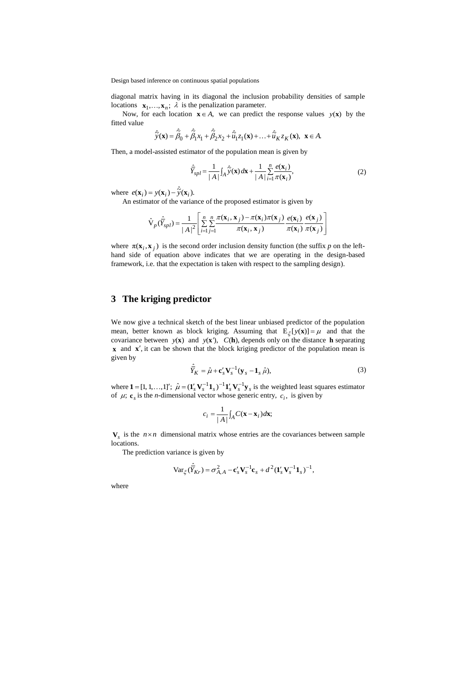Design based inference on continuous spatial populations

diagonal matrix having in its diagonal the inclusion probability densities of sample locations  $\mathbf{x}_1, \dots, \mathbf{x}_n$ ;  $\lambda$  is the penalization parameter.

Now, for each location  $\mathbf{x} \in A$ , we can predict the response values  $y(\mathbf{x})$  by the fitted value

$$
\hat{\widetilde{y}}(\mathbf{x}) = \hat{\widetilde{\beta}}_0 + \hat{\widetilde{\beta}}_1 x_1 + \hat{\widetilde{\beta}}_2 x_2 + \hat{\widetilde{u}}_1 z_1(\mathbf{x}) + \dots + \hat{\widetilde{u}}_K z_K(\mathbf{x}), \ \mathbf{x} \in A.
$$

Then, a model-assisted estimator of the population mean is given by

$$
\hat{\overline{Y}}_{spl} = \frac{1}{|A|} \int_A \hat{\widetilde{Y}}(\mathbf{x}) d\mathbf{x} + \frac{1}{|A|} \sum_{i=1}^n \frac{e(\mathbf{x}_i)}{\pi(\mathbf{x}_i)},
$$
(2)

where  $e(\mathbf{x}_i) = y(\mathbf{x}_i) - \hat{\tilde{y}}(\mathbf{x}_i)$ .

An estimator of the variance of the proposed estimator is given by

$$
\hat{\mathbf{V}}_p(\hat{\overline{Y}}_{spl}) = \frac{1}{|A|^2} \left[ \sum_{i=1}^n \sum_{j=1}^n \frac{\pi(\mathbf{x}_i, \mathbf{x}_j) - \pi(\mathbf{x}_i)\pi(\mathbf{x}_j)}{\pi(\mathbf{x}_i, \mathbf{x}_j)} \frac{e(\mathbf{x}_i)}{\pi(\mathbf{x}_i)} \frac{e(\mathbf{x}_j)}{\pi(\mathbf{x}_j)} \frac{e(\mathbf{x}_j)}{\pi(\mathbf{x}_j)} \right]
$$

where  $\pi(\mathbf{x}_i, \mathbf{x}_j)$  is the second order inclusion density function (the suffix *p* on the lefthand side of equation above indicates that we are operating in the design-based framework, i.e. that the expectation is taken with respect to the sampling design).

# **3 The kriging predictor**

We now give a technical sketch of the best linear unbiased predictor of the population mean, better known as block kriging. Assuming that  $E_{\xi}[y(\mathbf{x})] = \mu$  and that the covariance between  $y(x)$  and  $y(x')$ ,  $C(h)$ , depends only on the distance h separating **x** and **x**', it can be shown that the block kriging predictor of the population mean is given by

$$
\hat{\overline{Y}}_K = \hat{\mu} + \mathbf{c}_s' \mathbf{V}_s^{-1} (\mathbf{y}_s - \mathbf{1}_s \hat{\mu}),
$$
\n(3)

where  $\mathbf{1} = [1, 1, \ldots, 1]$ ;  $\hat{\mu} = (\mathbf{1}_s' \mathbf{V}_s^{-1} \mathbf{1}_s)^{-1} \mathbf{1}_s' \mathbf{V}_s^{-1} \mathbf{y}_s$  is the weighted least squares estimator of  $\mu$ ;  $\mathbf{c}_s$  is the *n*-dimensional vector whose generic entry,  $c_i$ , is given by

$$
c_i = \frac{1}{|A|} \int_A C(\mathbf{x} - \mathbf{x}_i) d\mathbf{x};
$$

 $V_s$  is the  $n \times n$  dimensional matrix whose entries are the covariances between sample locations.

The prediction variance is given by

$$
\text{Var}_{\xi}(\hat{\overline{Y}}_{Kr}) = \sigma_{A,A}^2 - \mathbf{c}_s' \mathbf{V}_s^{-1} \mathbf{c}_s + d^2 (\mathbf{1}_s' \mathbf{V}_s^{-1} \mathbf{1}_s)^{-1},
$$

where